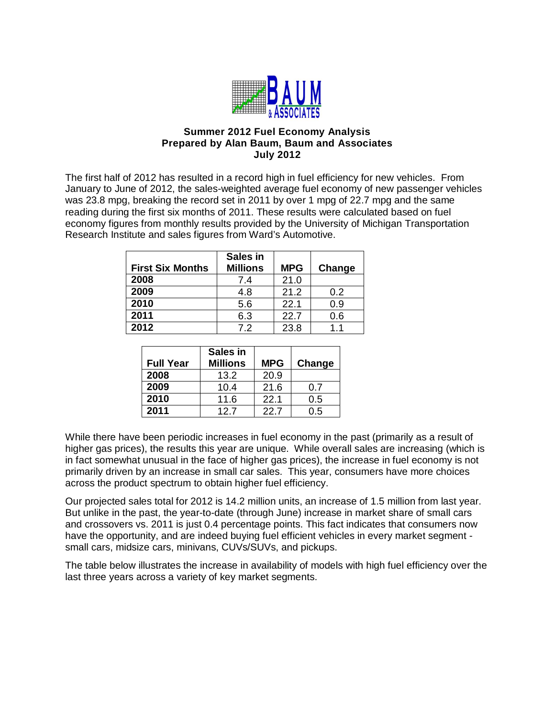

# **Summer 2012 Fuel Economy Analysis Prepared by Alan Baum, Baum and Associates July 2012**

The first half of 2012 has resulted in a record high in fuel efficiency for new vehicles. From January to June of 2012, the sales-weighted average fuel economy of new passenger vehicles was 23.8 mpg, breaking the record set in 2011 by over 1 mpg of 22.7 mpg and the same reading during the first six months of 2011. These results were calculated based on fuel economy figures from monthly results provided by the University of Michigan Transportation Research Institute and sales figures from Ward's Automotive.

| <b>First Six Months</b> | Sales in<br><b>Millions</b> | <b>MPG</b> | Change |
|-------------------------|-----------------------------|------------|--------|
| 2008                    | 7.4                         | 21.0       |        |
| 2009                    | 4.8                         | 21.2       | 0.2    |
| 2010                    | 5.6                         | 22.1       | ი 9    |
| 2011                    | 6.3                         | 22.7       | 0.6    |
| 2012                    | 72                          | 23.8       | 11     |

|                  | Sales in        |            |        |
|------------------|-----------------|------------|--------|
| <b>Full Year</b> | <b>Millions</b> | <b>MPG</b> | Change |
| 2008             | 13.2            | 20.9       |        |
| 2009             | 10.4            | 21.6       | 0.7    |
| 2010             | 11.6            | 22.1       | 0.5    |
| 2011             | 12.7            | 22.7       | 0.5    |

While there have been periodic increases in fuel economy in the past (primarily as a result of higher gas prices), the results this year are unique. While overall sales are increasing (which is in fact somewhat unusual in the face of higher gas prices), the increase in fuel economy is not primarily driven by an increase in small car sales. This year, consumers have more choices across the product spectrum to obtain higher fuel efficiency.

Our projected sales total for 2012 is 14.2 million units, an increase of 1.5 million from last year. But unlike in the past, the year-to-date (through June) increase in market share of small cars and crossovers vs. 2011 is just 0.4 percentage points. This fact indicates that consumers now have the opportunity, and are indeed buying fuel efficient vehicles in every market segment small cars, midsize cars, minivans, CUVs/SUVs, and pickups.

The table below illustrates the increase in availability of models with high fuel efficiency over the last three years across a variety of key market segments.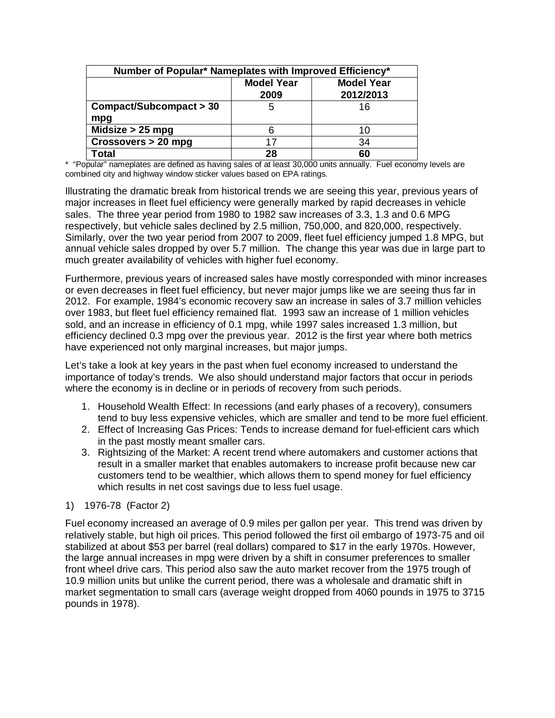| Number of Popular* Nameplates with Improved Efficiency* |                           |                                |  |  |
|---------------------------------------------------------|---------------------------|--------------------------------|--|--|
|                                                         | <b>Model Year</b><br>2009 | <b>Model Year</b><br>2012/2013 |  |  |
| Compact/Subcompact > 30<br>mpg                          | 5                         | 16                             |  |  |
| Midsize $> 25$ mpg                                      | 6                         | 10                             |  |  |
| Crossovers > 20 mpg                                     | 17                        | 34                             |  |  |
| Гotal                                                   | 28                        | 60                             |  |  |

\* "Popular" nameplates are defined as having sales of at least 30,000 units annually. Fuel economy levels are combined city and highway window sticker values based on EPA ratings.

Illustrating the dramatic break from historical trends we are seeing this year, previous years of major increases in fleet fuel efficiency were generally marked by rapid decreases in vehicle sales. The three year period from 1980 to 1982 saw increases of 3.3, 1.3 and 0.6 MPG respectively, but vehicle sales declined by 2.5 million, 750,000, and 820,000, respectively. Similarly, over the two year period from 2007 to 2009, fleet fuel efficiency jumped 1.8 MPG, but annual vehicle sales dropped by over 5.7 million. The change this year was due in large part to much greater availability of vehicles with higher fuel economy.

Furthermore, previous years of increased sales have mostly corresponded with minor increases or even decreases in fleet fuel efficiency, but never major jumps like we are seeing thus far in 2012. For example, 1984's economic recovery saw an increase in sales of 3.7 million vehicles over 1983, but fleet fuel efficiency remained flat. 1993 saw an increase of 1 million vehicles sold, and an increase in efficiency of 0.1 mpg, while 1997 sales increased 1.3 million, but efficiency declined 0.3 mpg over the previous year. 2012 is the first year where both metrics have experienced not only marginal increases, but major jumps.

Let's take a look at key years in the past when fuel economy increased to understand the importance of today's trends. We also should understand major factors that occur in periods where the economy is in decline or in periods of recovery from such periods.

- 1. Household Wealth Effect: In recessions (and early phases of a recovery), consumers tend to buy less expensive vehicles, which are smaller and tend to be more fuel efficient.
- 2. Effect of Increasing Gas Prices: Tends to increase demand for fuel-efficient cars which in the past mostly meant smaller cars.
- 3. Rightsizing of the Market: A recent trend where automakers and customer actions that result in a smaller market that enables automakers to increase profit because new car customers tend to be wealthier, which allows them to spend money for fuel efficiency which results in net cost savings due to less fuel usage.

# 1) 1976-78 (Factor 2)

Fuel economy increased an average of 0.9 miles per gallon per year. This trend was driven by relatively stable, but high oil prices. This period followed the first oil embargo of 1973-75 and oil stabilized at about \$53 per barrel (real dollars) compared to \$17 in the early 1970s. However, the large annual increases in mpg were driven by a shift in consumer preferences to smaller front wheel drive cars. This period also saw the auto market recover from the 1975 trough of 10.9 million units but unlike the current period, there was a wholesale and dramatic shift in market segmentation to small cars (average weight dropped from 4060 pounds in 1975 to 3715 pounds in 1978).